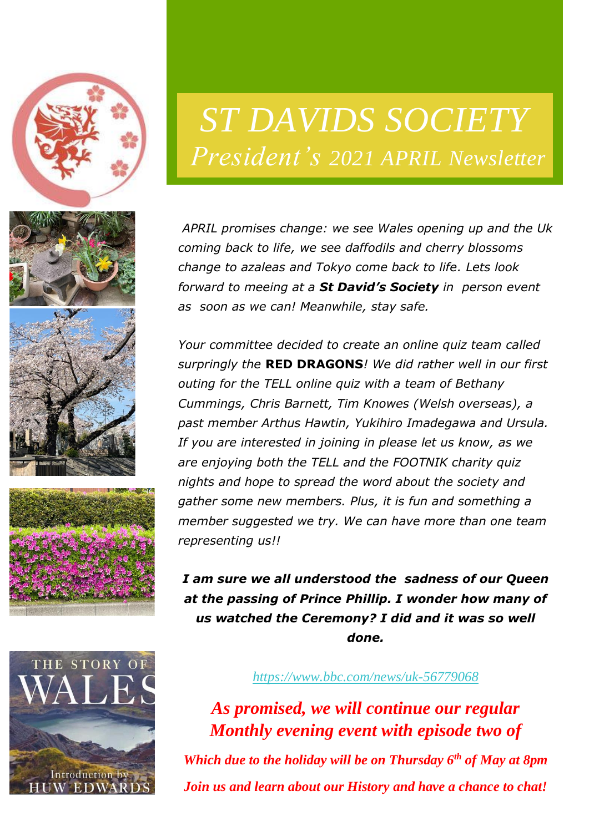





# *ST DAVIDS SOCIETY President's 2021 APRIL Newsletter*

*APRIL promises change: we see Wales opening up and the Uk coming back to life, we see daffodils and cherry blossoms change to azaleas and Tokyo come back to life. Lets look forward to meeing at a St David's Society in person event as soon as we can! Meanwhile, stay safe.*

*Your committee decided to create an online quiz team called surpringly the* **RED DRAGONS***! We did rather well in our first outing for the TELL online quiz with a team of Bethany Cummings, Chris Barnett, Tim Knowes (Welsh overseas), a past member Arthus Hawtin, Yukihiro Imadegawa and Ursula. If you are interested in joining in please let us know, as we are enjoying both the TELL and the FOOTNIK charity quiz nights and hope to spread the word about the society and gather some new members. Plus, it is fun and something a member suggested we try. We can have more than one team representing us!!*

*I am sure we all understood the sadness of our Queen at the passing of Prince Phillip. I wonder how many of us watched the Ceremony? I did and it was so well done.*

#### *<https://www.bbc.com/news/uk-56779068>*

*As promised, we will continue our regular Monthly evening event with episode two of Which due to the holiday will be on Thursday 6th of May at 8pm Join us and learn about our History and have a chance to chat!*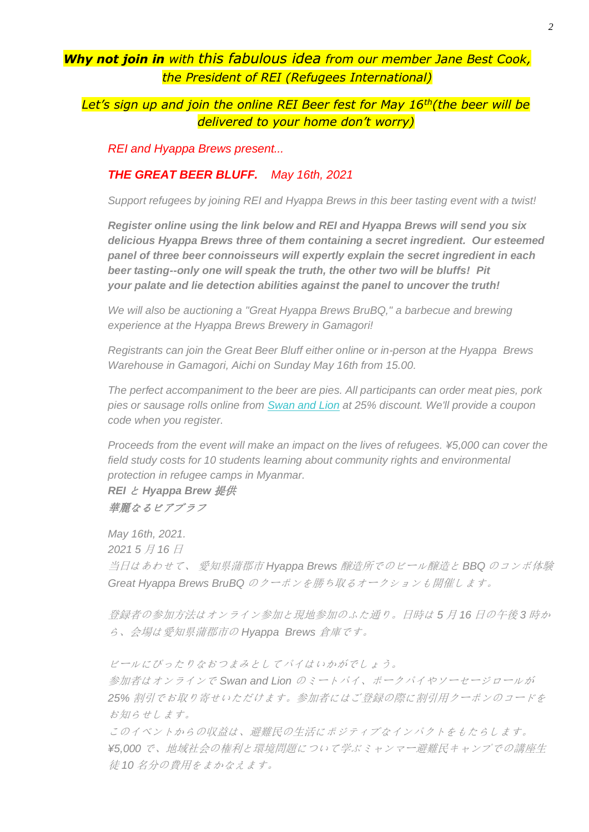### *Why not join in with this fabulous idea from our member Jane Best Cook, the President of REI (Refugees International)*

#### *Let's sign up and join the online REI Beer fest for May 16th(the beer will be delivered to your home don't worry)*

*REI and Hyappa Brews present...*

#### *THE GREAT BEER BLUFF. May 16th, 2021*

*Support refugees by joining REI and Hyappa Brews in this beer tasting event with a twist!*

*Register online using the link below and REI and Hyappa Brews will send you six delicious Hyappa Brews three of them containing a secret ingredient. Our esteemed panel of three beer connoisseurs will expertly explain the secret ingredient in each beer tasting--only one will speak the truth, the other two will be bluffs! Pit your palate and lie detection abilities against the panel to uncover the truth!*

*We will also be auctioning a "Great Hyappa Brews BruBQ," a barbecue and brewing experience at the Hyappa Brews Brewery in Gamagori!*

*Registrants can join the Great Beer Bluff either online or in-person at the Hyappa Brews Warehouse in Gamagori, Aichi on Sunday May 16th from 15.00.*

*The perfect accompaniment to the beer are pies. All participants can order meat pies, pork pies or sausage rolls online from [Swan and Lion](http://email.rei-npo.org/t/i-l-mhdyhdt-qijvtdl-y/) at 25% discount. We'll provide a coupon code when you register.*

*Proceeds from the event will make an impact on the lives of refugees. ¥5,000 can cover the field study costs for 10 students learning about community rights and environmental protection in refugee camps in Myanmar.*

*REI* と *Hyappa Brew* 提供 華麗なるビアブラフ

*May 16th, 2021. 2021 5* 月 *16* 日 当日はあわせて、 愛知県蒲郡市 *Hyappa Brews* 醸造所でのビール醸造と *BBQ* のコンボ体験 *Great Hyappa Brews BruBQ* のクーポンを勝ち取るオークションも開催します。

登録者の参加方法はオンライン参加と現地参加のふた通り。日時は *5* 月 *16* 日の午後 *3* 時か ら、会場は愛知県蒲郡市の *Hyappa Brews* 倉庫です。

ビールにぴったりなおつまみとしてパイはいかがでしょう。

参加者はオンラインで *Swan and Lion* のミートパイ、ポークパイやソーセージロールが *25%* 割引でお取り寄せいただけます。参加者にはご登録の際に割引用クーポンのコードを お知らせします。

このイベントからの収益は、避難民の生活にポジティブなインパクトをもたらします。 *¥5,000* で、地域社会の権利と環境問題について学ぶミャンマー避難民キャンプでの講座生 徒 *10* 名分の費用をまかなえます。